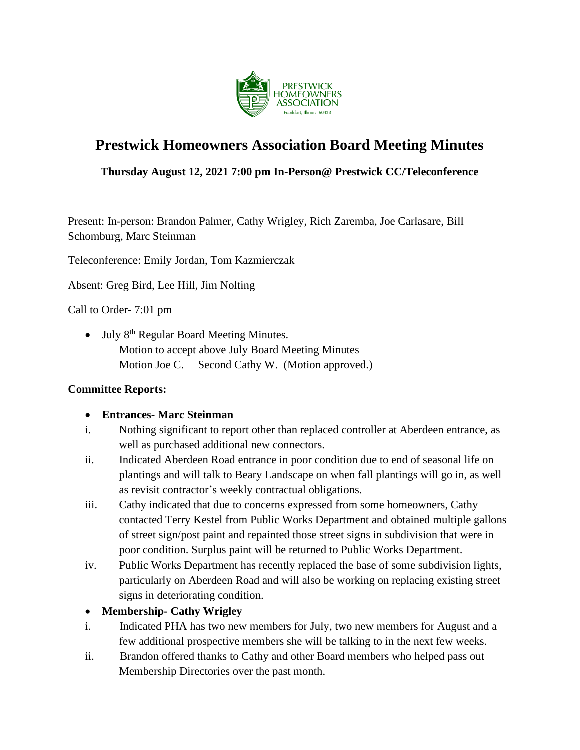

# **Prestwick Homeowners Association Board Meeting Minutes**

# **Thursday August 12, 2021 7:00 pm In-Person@ Prestwick CC/Teleconference**

Present: In-person: Brandon Palmer, Cathy Wrigley, Rich Zaremba, Joe Carlasare, Bill Schomburg, Marc Steinman

Teleconference: Emily Jordan, Tom Kazmierczak

Absent: Greg Bird, Lee Hill, Jim Nolting

Call to Order- 7:01 pm

• July 8<sup>th</sup> Regular Board Meeting Minutes. Motion to accept above July Board Meeting Minutes Motion Joe C. Second Cathy W. (Motion approved.)

### **Committee Reports:**

#### • **Entrances- Marc Steinman**

- i. Nothing significant to report other than replaced controller at Aberdeen entrance, as well as purchased additional new connectors.
- ii. Indicated Aberdeen Road entrance in poor condition due to end of seasonal life on plantings and will talk to Beary Landscape on when fall plantings will go in, as well as revisit contractor's weekly contractual obligations.
- iii. Cathy indicated that due to concerns expressed from some homeowners, Cathy contacted Terry Kestel from Public Works Department and obtained multiple gallons of street sign/post paint and repainted those street signs in subdivision that were in poor condition. Surplus paint will be returned to Public Works Department.
- iv. Public Works Department has recently replaced the base of some subdivision lights, particularly on Aberdeen Road and will also be working on replacing existing street signs in deteriorating condition.

### • **Membership- Cathy Wrigley**

- i. Indicated PHA has two new members for July, two new members for August and a few additional prospective members she will be talking to in the next few weeks.
- ii. Brandon offered thanks to Cathy and other Board members who helped pass out Membership Directories over the past month.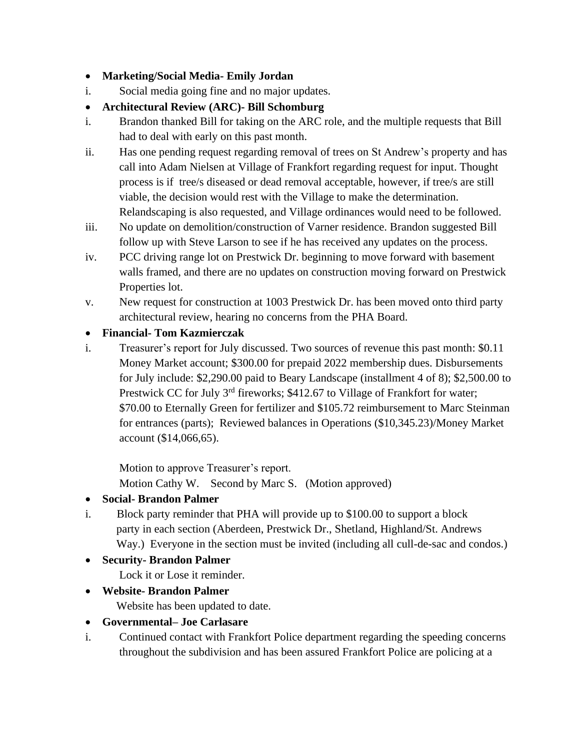### • **Marketing/Social Media- Emily Jordan**

i. Social media going fine and no major updates.

# • **Architectural Review (ARC)- Bill Schomburg**

- i. Brandon thanked Bill for taking on the ARC role, and the multiple requests that Bill had to deal with early on this past month.
- ii. Has one pending request regarding removal of trees on St Andrew's property and has call into Adam Nielsen at Village of Frankfort regarding request for input. Thought process is if tree/s diseased or dead removal acceptable, however, if tree/s are still viable, the decision would rest with the Village to make the determination. Relandscaping is also requested, and Village ordinances would need to be followed.
- iii. No update on demolition/construction of Varner residence. Brandon suggested Bill follow up with Steve Larson to see if he has received any updates on the process.
- iv. PCC driving range lot on Prestwick Dr. beginning to move forward with basement walls framed, and there are no updates on construction moving forward on Prestwick Properties lot.
- v. New request for construction at 1003 Prestwick Dr. has been moved onto third party architectural review, hearing no concerns from the PHA Board.

# • **Financial- Tom Kazmierczak**

i. Treasurer's report for July discussed. Two sources of revenue this past month: \$0.11 Money Market account; \$300.00 for prepaid 2022 membership dues. Disbursements for July include: \$2,290.00 paid to Beary Landscape (installment 4 of 8); \$2,500.00 to Prestwick CC for July 3<sup>rd</sup> fireworks; \$412.67 to Village of Frankfort for water; \$70.00 to Eternally Green for fertilizer and \$105.72 reimbursement to Marc Steinman for entrances (parts); Reviewed balances in Operations (\$10,345.23)/Money Market account (\$14,066,65).

Motion to approve Treasurer's report.

Motion Cathy W. Second by Marc S. (Motion approved)

# • **Social- Brandon Palmer**

i. Block party reminder that PHA will provide up to \$100.00 to support a block party in each section (Aberdeen, Prestwick Dr., Shetland, Highland/St. Andrews Way.) Everyone in the section must be invited (including all cull-de-sac and condos.)

# • **Security- Brandon Palmer**

Lock it or Lose it reminder.

• **Website- Brandon Palmer**

Website has been updated to date.

# • **Governmental– Joe Carlasare**

i. Continued contact with Frankfort Police department regarding the speeding concerns throughout the subdivision and has been assured Frankfort Police are policing at a